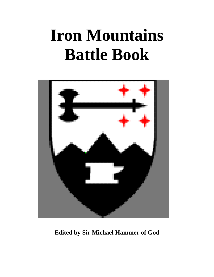# **Iron Mountains Battle Book**



**Edited by Sir Michael Hammer of God**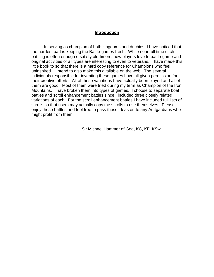# **Introduction**

In serving as champion of both kingdoms and duchies, I have noticed that the hardest part is keeping the Battle-games fresh. While near full time ditch battling is often enough o satisfy old-timers, new players love to battle-game and original activities of all types are interesting to even to veterans. I have made this little book to so that there is a hard copy reference for Champions who feel uninspired. I intend to also make this available on the web. The several individuals responsible for inventing these games have all given permission for their creative efforts. All of these variations have actually been played and all of them are good. Most of them were tried during my term as Champion of the Iron Mountains. I have broken them into types of games. I choose to separate boat battles and scroll enhancement battles since I included three closely related variations of each. For the scroll enhancement battles I have included full lists of scrolls so that users may actually copy the scrolls to use themselves. Please enjoy these battles and feel free to pass these ideas on to any Amtgardians who might profit from them.

Sir Michael Hammer of God, KC, KF, KSw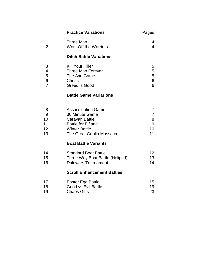|                | <b>Practice Variations</b>        | Pages           |
|----------------|-----------------------------------|-----------------|
| 1              | <b>Three Man</b>                  | 4               |
| $\overline{2}$ | <b>Work Off the Warriors</b>      | $\overline{4}$  |
|                | <b>Ditch Battle Variations</b>    |                 |
| 3              | <b>Kill Your Killer</b>           | 5               |
| 4              | <b>Three Man Forever</b>          | 5               |
| 5              | The Axe Game                      | 5               |
| 6              | <b>Chess</b>                      | 6               |
| $\overline{7}$ | Greed is Good                     | 6               |
|                | <b>Battle Game Variarions</b>     |                 |
| 8              | <b>Assassination Game</b>         | 7               |
| 9              | 30 Minute Game                    | $\overline{7}$  |
| 10             | <b>Caravan Battle</b>             | 8               |
| 11             | <b>Battle for Elfland</b>         | 9               |
| 12             | <b>Winter Battle</b>              | 10              |
| 13             | The Great Goblin Massacre         | 11              |
|                | <b>Boat Battle Variants</b>       |                 |
| 14             | <b>Standard Boat Battle</b>       | 12 <sup>2</sup> |
| 15             | Three Way Boat Battle (Helipad)   | 13              |
| 16             | <b>Dalewars Tournament</b>        | 14              |
|                | <b>Scroll Enhancement Battles</b> |                 |
| 17             | Easter Egg Battle                 | 15              |
| 18             | Good vs Evil Battle               | 19              |
| 19             | <b>Chaos Gifts</b>                | 23              |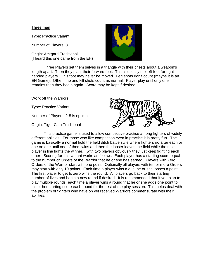### Three man

Type: Practice Variant

Number of Players: 3

Origin: Amtgard Traditional (I heard this one came from the EH)



 Three Players set them selves in a triangle with their chests about a weapon's length apart. Then they plant their forward foot. This is usually the left foot for righthanded players. This foot may never be moved. Leg shots don't count (maybe it is an EH Game). Other limb and kill shots count as normal. Player play until only one remains then they begin again. Score may be kept if desired.

### Work off the Warriors

Type: Practice Variant

Number of Players: 2-5 is optimal

Origin: Tiger Clan Traditional



 This practice game is used to allow competitive practice among fighters of widely different abilities. For those who like competition even in practice it is pretty fun. The game is basically a normal hold the field ditch battle style where fighters go after each or one on one until one of them wins and then the looser leaves the field while the next player in line fights the winner. (with two players obviously they just keep fighting each other. Scoring for this variant works as follows. Each player has a starting score equal to the number of Orders of the Warrior that he or she has earned. Players with Zero Orders of the Warrior start with one point. Optionally all players with ten or more Orders may start with only 10 points. Each time a player wins a duel he or she looses a point. The first player to get to zero wins the round. All players go back to their starting number of lives and begin a new round if desired. It is recommended that if you plan to play multiple rounds, each time a player wins a round that he or she adds one point to his or her starting score each round for the rest of the play session. This helps deal with the problem of fighters who have on yet received Warriors commensurate with their abilities.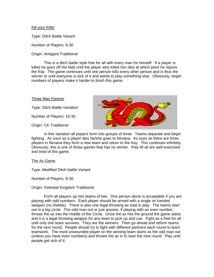## Kill your Killer

Type: Ditch Battle Variant

Number of Players: 6-30

Origin: Amtgard Traditional

 This is a ditch battle style free for all with every man for himself. If a player is killed he goes off the field until the player who killed him dies at which point he rejoins the fray. The game continues until one person kills every other person and is thus the winner or until everyone is sick of it and wants to play something else. Obviously, larger numbers of players make it harder to finish this game.

#### Three Man Forever

Type: Ditch Battle Variation

Number of Players: 15-30

Origin: CK Traditional



 In this variation all players form into groups of three. Teams separate and begin fighting. As soon as a player dies he/she goes to Nirvana. As soon as there are three players in Nirvana they form a new team and return to the fray. This continues infinitely. Obviously, this is one of those games that has no winner. Play till all are well exercised and tired of this game.

The Ax Game

Type: Modified Ditch battle Variant

Number of Players: 8-30

Origin: Celestial Kingdom Traditional

 Form all players up into teams of two. One person alone is acceptable if you are playing with odd numbers. Each player should be armed with a single on handed weapon (no shields). There is also one legal throwing ax total in play. The teams start out in a big circle. The odd man out or just anyone, if playing with an even number, throws the ax into the middle of the Circle. Once the ax hits the ground the game starts and it is a legal throwing weapon for any team to pick up and use. Fight as a free for all until only one team survives. They are the winners. Then go ahead and reform teams for the next round. People should try to fight with different partners each round to learn teamwork. The most unwounded player on the winning team starts as the odd man out (unless you have even numbers) and throws the ax in to start the next round. Play until people get sick of it.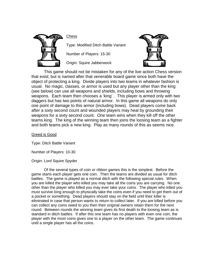

**Chess** 

Type: Modified Ditch Battle Variant

Number of Players: 15-30

Origin: Squire Jabberwock



This game should not be mistaken for any of the live action Chess version that exist; but is named after that venerable board game since both have the object of protecting a king. Divide players into two teams in whatever fashion is usual. No magic, classes, or armor is used but any player other than the king (see below) can use all weapons and shields, including bows and throwing weapons. Each team then chooses a 'king' . This player is armed only with two daggers but has two points of natural armor. In this game all weapons do only one point of damage to this armor (including bows). Dead players come back after a sixty second count and wounded players may heal by grounding their weapons for a sixty second count. One team wins when they kill off the other teams king. The king of the winning team then joins the loosing team as a fighter and both teams pick a new king. Play as many rounds of this as seems nice.

# Greed is Good

Type: Ditch Battle Variant

Number of Players: 10-30

Origin: Lord Squire Spyder

 Of the several types of coin or ribbon games this is the simplest. Before the game starts each player gets one coin. Then the teams are divided as usual for ditch battles. The game is played as a normal ditch with the following special rules. When you are killed the player who killed you may take all the coins you are carrying. No one other than the player who killed you may ever take your coins. The player who killed you must survive long enough to physically take the coins even if you need to get them out of a pocket or something. Dead players should stay on the field until their killer is eliminated in case that person wants to return to collect later. If you are killed before you can collect any coins owed to you then their original owners retain them for the next round. Between rounds the winning team gives its first death to the loosing team as is standard in ditch battles. If after this one team has no players with even one coin, the player with the most coins gives one to a player on the other team. The game continues until a single player has all the coins.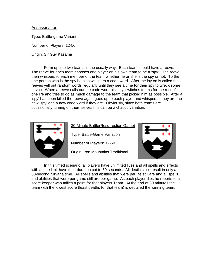# Assassination

Type: Battle-game Variant

Number of Players: 12-50

Origin: Sir Guy Kasama

 Form up into two teams in the usually way. Each team should have a reeve. The reeve for each team chooses one player on his own team to be a 'spy'. The reeve then whispers to each member of the team whether he or she is the spy or not. To the one person who is the spy he also whispers a code word. After the lay on is called the reeves yell out random words regularly until they see a time for their spy to wreck some havoc. When a reeve calls out the code word his 'spy' switches teams for the rest of one life and tries to do as much damage to the team that picked him as possible. After a 'spy' has been killed the reeve again goes up to each player and whispers if they are the new 'spy' and a new code word if they are. Obviously, since both teams are occasionally turning on them selves this can be a chaotic variation.



30-Minute Battle(Resurrection Game)

Type: Battle-Game Variation

Number of Players: 12-50

Origin: Iron Mountains Traditional



 In this timed scenario, all players have unlimited lives and all spells and effects with a time limit have their duration cut to 60 seconds. All deaths also result in only a 60-second Nirvana time. All spells and abilities that were per life still are and all spells and abilities that were per game still are per game. As each player dies he reports to a score keeper who tallies a point for that players Team. At the end of 30 minutes the team with the lowest score (least deaths for that team) is declared the winning team.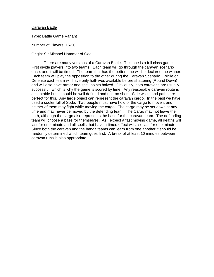#### Caravan Battle

Type: Battle Game Variant

Number of Players: 15-30

#### Origin: Sir Michael Hammer of God

There are many versions of a Caravan Battle. This one is a full class game. First divide players into two teams. Each team will go through the caravan scenario once, and it will be timed. The team that has the better time will be declared the winner. Each team will play the opposition to the other during the Caravan Scenario. While on Defense each team will have only half-lives available before shattering (Round Down) and will also have armor and spell points halved. Obviously, both caravans are usually successful, which is why the game is scored by time. Any reasonable caravan route is acceptable but it should be well defined and not too short. Side walks and paths are perfect for this. Any large object can represent the caravan cargo. In the past we have used a cooler full of Soda. Two people must have hold of the cargo to move it and neither of them may fight while moving the cargo. The cargo may be set down at any time and may never be moved by the defending team. The Cargo may not leave the path, although the cargo also represents the base for the caravan team. The defending team will choose a base for themselves. As I expect a fast moving game, all deaths will last for one minute and all spells that have a timed effect will also last for one minute. Since both the caravan and the bandit teams can learn from one another it should be randomly determined which team goes first. A break of at least 10 minutes between caravan runs is also appropriate.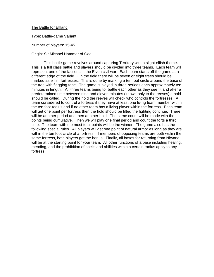## The Battle for Elfland

Type: Battle-game Variant

Number of players: 15-45

#### Origin: Sir Michael Hammer of God

 This battle-game revolves around capturing Territory with a slight elfish theme. This is a full class battle and players should be divided into three teams. Each team will represent one of the factions in the Elven civil war. Each team starts off the game at a different edge of the field. On the field there will be seven or eight trees should be marked as elfish fortresses. This is done by marking a ten foot circle around the base of the tree with flagging tape. The game is played in three periods each approximately ten minutes in length. All three teams being to battle each other as they see fit and after a predetermined time between nine and eleven minutes (known only to the reeves) a hold should be called. During the hold the reeves will check who controls the fortresses. A team considered to control a fortress if they have at least one living team member within the ten foot radius and if no other team has a living player within the fortress. Each team will get one point per fortress then the hold should be lifted the fighting continue. There will be another period and then another hold. The same count will be made with the points being cumulative. Then we will play one final period and count the forts a third time. The team with the most total points will be the winner. The game also has the following special rules. All players will get one point of natural armor as long as they are within the ten foot circle of a fortress. If members of opposing teams are both within the same fortress, both players get the bonus. Finally, all bases for returning from Nirvana will be at the starting point for your team. All other functions of a base including healing, mending, and the prohibition of spells and abilities within a certain radius apply to any fortress.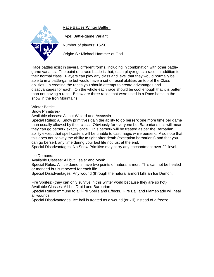Race Battles(Winter Battle )



Type: Battle-game Variant

Number of players: 15-50

Origin: Sir Michael Hammer of God

Race battles exist in several different forms, including in combination with other battlegame variants. The point of a race battle is that, each player gets a race, in addition to their normal class. Players can play any class and level that they would normally be able to in a battle-game but would have a set of racial abilities on top of the Class abilities. In creating the races you should attempt to create advantages and disadvantages for each. On the whole each race should be cool enough that it is better than not having a race. Below are three races that were used in a Race battle in the snow in the Iron Mountains.

Winter Battle:

Snow Primitives-

Available classes: All but Wizard and Assassin

Special Rules: All Snow primitives gain the ability to go berserk one more time per game than usually allowed by their class. Obviously for everyone but Barbarians this will mean they can go berserk exactly once. This berserk will be treated as per the Barbarian ability except that spell casters will be unable to cast magic while berserk. Also note that this does not convey the ability to fight after death (exception barbarians) and that you can go berserk any time during your last life not just at the end.

Special Disadvantages: No Snow Primitive may carry any enchantment over 2<sup>nd</sup> level.

Ice Demons:

Available Classes: All but Healer and Monk

Special Rules: All Ice demons have two points of natural armor. This can not be healed or mended but is renewed for each life.

Special Disadvantages: Any wound (through the natural armor) kills an Ice Demon.

Fire Sprites: (they can only survive in this winter world because they are so hot) Available Classes: All but Druid and Barbarian

Special Rules: Immune to all Fire Spells and Effects. Fire Ball and Flameblade will heal all wounds.

Special Disadvantages: Ice ball is treated as a wound (or kill) instead of a freeze.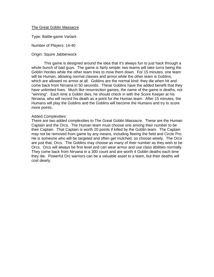# The Great Goblin Massacre

Type: Battle-game Variant

Number of Players: 14-40

# Origin: Squire Jabberwock

This game is designed around the idea that it's always fun to just hack through a whole bunch of bad guys. The game is fairly simple: two teams will take turns being the Goblin Hordes while the other team tries to mow them down. For 15 minutes, one team will be Human, allowing normal classes and armor while the other team is Goblins, which are allowed no armor at all. Goblins are the normal kind: they die when hit and come back from Nirvana in 50 seconds. These Goblins have the added benefit that they have unlimited lives. Much like resurrection games, the name of the game is deaths, not "winning". Each time a Goblin dies, he should check in with the Score Keeper at his Nirvana, who will record his death as a point for the Human team. After 15 minutes, the Humans will play the Goblins and the Goblins will become the Humans and try to score more points.

## Added Complexities:

There are two added complexities to The Great Goblin Massacre. These are the Human Captain and the Orcs. The Human team must choose one among their number to be their Captain. That Captain is worth 20 points if killed by the Goblin team. The Captain may not be removed from game by any means, including fleeing the field and Circle Pro. He is someone who will be targeted and often get mulched, so choose wisely. The Orcs are just that, Orcs. The Goblins may choose as many of their number as they wish to be Orcs. Orcs will always be first level and can wear armor and use class abilities normally. They come back from Nirvana in a 300 count and are worth 4 Goblin deaths each time they die. Powerful Orc warriors can be a valuable asset to a team, but their deaths will cost dearly.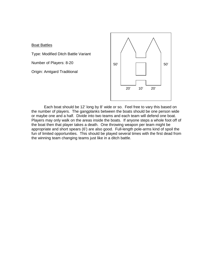# **Boat Battles**

Type: Modified Ditch Battle Variant

Number of Players: 8-20

Origin: Amtgard Traditional



Each boat should be 12' long by 8' wide or so. Feel free to vary this based on the number of players. The gangplanks between the boats should be one person wide or maybe one and a half. Divide into two teams and each team will defend one boat. Players may only walk on the areas inside the boats. If anyone steps a whole foot off of the boat then that player takes a death. One throwing weapon per team might be appropriate and short spears (6') are also good. Full-length pole-arms kind of spoil the fun of limited opportunities. This should be played several times with the first dead from the winning team changing teams just like in a ditch battle.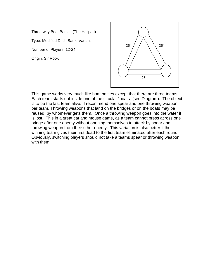Three-way Boat Battles (The Helipad)

Type: Modified Ditch Battle Variant

Number of Players: 12-24

Origin: Sir Rook



This game works very much like boat battles except that there are three teams. Each team starts out inside one of the circular "boats" (see Diagram). The object is to be the last team alive. I recommend one spear and one throwing weapon per team. Throwing weapons that land on the bridges or on the boats may be reused, by whomever gets them. Once a throwing weapon goes into the water it is lost. This in a great cat and mouse game, as a team cannot press across one bridge after one enemy without opening themselves to attack by spear and throwing weapon from their other enemy. This variation is also better if the winning team gives their first dead to the first team eliminated after each round. Obviously, switching players should not take a teams spear or throwing weapon with them.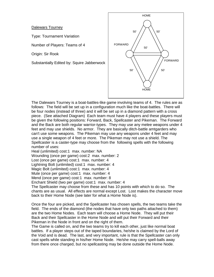# Dalewars Tourney

Type: Tournament Variation

Number of Players: Teams of 4

Origin: Sir Rook

Substantially Edited by: Squire Jabberwock



The Dalewars Tourney is a boat-battles-like game involving teams of 4. The rules are as follows: The field will be set up in a configuration much like the boat-battles. There will be four nodes (instead of three) and it will be set up in a diamond pattern with a cross piece. (See attached Diagram) Each team must have 4 players and these players must be given the following positions: Forward, Back, Spellcaster and Pikeman. The Forward and the Back are both regular warrior-types. They may use any melee weapons under 4 feet and may use shields. No armor. They are basically ditch-battle amtgarders who can't use some weapons. The Pikeman may use any weapons under 4 feet and may use a single weapon of 4 feet or more. The Pikeman may not use a shield. The Spellcaster is a caster-type may choose from the following spells with the following number of uses:

Heal (unlimited) cost:1 max. number: NA

Wounding (once per game) cost:2 max. number: 2

Lost (once per game) cost:1 max. number: 4

Lightning Bolt (unlimited) cost:1 max. number: 4

Magic Bolt (unlimited) cost:1 max. number: 4

Mute (once per game) cost:1 max. number: 4

Mend (once per game) cost:1 max. number: 8

Enchant Shield (two per game) cost:1 max. number: 4

The Spellcaster may choose from these and has 10 points with which to do so. The chants are as usual. All effects are normal except Lost. Lost makes the character move back to their Home Node (see later for what a Home Node is).

Once the four are picked, and the Spellcaster has chosen spells, the two teams take the field. The ends of the diamond (the nodes that have only two paths attached to them) are the two Home Nodes. Each team will choose a Home Node. They will put their Back and their Spellcaster in the Home Node and will put their Forward and their Pikeman in the Node in front and on the right of them.

The Game is called on, and the two teams try to kill each other, just like normal boat battles. If a player steps out of the taped boundaries, he/she is claimed by the Lord of the Void and is dead. The last, and very important, rule is that the Spellcaster can only cast spells while standing in his/her Home Node. He/she may carry spell-balls away from there once charged, but no spellcasting may be done outside the Home Node.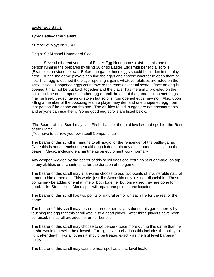#### Easter Egg Battle

Type: Battle-game Variant

Number of players: 15-40

Origin: Sir Michael Hammer of God

 Several different versions of Easter Egg Hunt games exist. In this one the person running the prepares by filling 30 or so Easter Eggs with beneficial scrolls. (Examples provided below). Before the game these eggs should be hidden in the play area. During the game players can find the eggs and choose whether to open them or not. If an egg is opened the player opening it gains whatever abilities are listed on the scroll inside. Unopened eggs count toward the teams eventual score. Once an egg is opened it may not be put back together and the player has the ability provided on the scroll until he or she opens another egg or until the end of the game. Unopened eggs may be freely traded, given or stolen but scrolls from opened eggs may not. Also, upon killing a member of the opposing team a player may demand one unopened egg from that person if he or she carries one. The abilities found in eggs are not enchantments and anyone can use them. Some good egg scrolls are listed below.

 The Bearer of this Scroll may cast Fireball as per the third level wizard spell for the Rest of the Game.

(You have to borrow your own spell Components)

The bearer of this scroll is immune to all magic for the remainder of the battle-game. (Note this is not an enchantment although it does ruin any enchantments active on the bearer. Magic, including enchantments on equipment work normally)

Any weapon wielded by the bearer of this scroll does one extra point of damage, on top of any abilities or enchantments for the duration of the game.

The bearer of this scroll may at anytime choose to add two-points of invulnerable natural armor to him or herself. This works just like Stoneskin only it is non-dispelable. These points may be added one at a time or both together but once used they are gone for good. Like Stoneskin a Mend spell will repair one point in one location.

The bearer of this scroll has two points of natural armor on each life for the rest of the game.

The bearer of this scroll may resurrect three other players during this game merely by touching the egg that this scroll was in to a dead player. After three players have been so raised, the scroll provides no further benefit.

The bearer of this scroll may choose to go berserk twice more during this game than he or she would otherwise be allowed. For high level barbarians this includes the ability to fight after death. For all others it should be treated exactly as the first level barbarian ability.

The bearer of this scroll may cast the heal spell as a first level healer.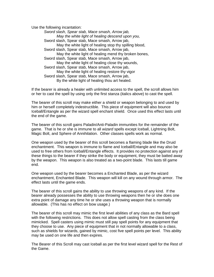Use the following incantation:

*Sword slash, Spear stab, Mace smash, Arrow jab, May the white light of healing descend upon you,*  Sword slash, Spear stab, Mace smash, Arrow jab, May the white light of healing stop thy spilling blood, Sword slash, Spear stab, Mace smash, Arrow jab, May the white light of healing mend thy broken bones, Sword slash, Spear stab, Mace smash, Arrow jab, May the white light of healing close thy wounds, Sword slash, Spear stab, Mace smash, Arrow jab, May the white light of healing restore thy vigor Sword slash, Spear stab, Mace smash, Arrow jab, By the white light of healing thou art healed.

If the bearer is already a healer with unlimited access to the spell, the scroll allows him or her to cast the spell by using only the first stanza (italics above) to cast the spell.

The bearer of this scroll may make either a shield or weapon belonging to and used by him or herself completely indestructible. This piece of equipment will also bounce Iceball/Entangle as per the wizard spell enchant shield. Once used this effect lasts until the end of the game.

The bearer of this scroll gains Paladin/Anti-Paladin immunities for the remainder of the game. That is he or she is immune to all *wizard* spells except Iceball, Lightning Bolt, Magic Bolt, and Sphere of Annihilation. Other classes spells work as normal.

One weapon used by the bearer of this scroll becomes a flaming blade like the Druid enchantment. This weapon is immune to flame and Iceball/Entangle and may also be used to free others from Iceball/Entangle effects. It provides no protection against any of these things to the bearer if they strike the body or equipment, they must be batted away by the weapon. This weapon is also treated as a two-point blade. This lasts till game end.

One weapon used by the bearer becomes a Enchanted Blade, as per the wizard enchantment, Enchanted Blade. This weapon will kill on any wound through armor. The effect lasts until the game ends.

The bearer of this scroll gains the ability to use throwing weapons of any kind. If the bearer already possesses the ability to use throwing weapons then he or she does one extra point of damage any time he or she uses a throwing weapon that is normally allowable. (This has no effect on bow usage.)

The bearer of this scroll may mimic the first level abilities of any class as the Bard spell with the following restrictions. This does not allow spell casting from the class being mimicked. Spell casters using mimic must still pay spell points for any equipment that they choose to use. Any piece of equipment that in not normally allowable to a class, such as shields for wizards, gained by mimic, cost five spell points per level. This ability may be used on one life and then expires.

The Bearer of this Scroll may cast Iceball as per the first level wizard spell for the Rest of the Game.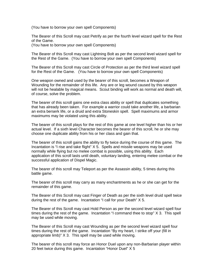(You have to borrow your own spell Components)

The Bearer of this Scroll may cast Petrify as per the fourth level wizard spell for the Rest of the Game.

(You have to borrow your own spell Components)

The Bearer of this Scroll may cast Lightning Bolt as per the second level wizard spell for the Rest of the Game. (You have to borrow your own spell Components)

The Bearer of this Scroll may cast Circle of Protection as per the third level wizard spell for the Rest of the Game. (You have to borrow your own spell Components)

One weapon owned and used by the bearer of this scroll, becomes a Weapon of Wounding for the remainder of this life. Any are or leg wound caused by this weapon will not be healable by magical means. Scout binding will work as normal and death will, of course, solve the problem.

The bearer of this scroll gains one extra class ability or spell that duplicates something that has already been taken. For example a warrior could take another life, a barbarian an extra berserk life, or a druid and extra Stoneskin spell. Spell maximums and armor maximums may be violated using this ability.

The bearer of this scroll plays for the rest of this game at one level higher than his or her actual level. If a sixth level Character becomes the bearer of this scroll, he or she may choose one duplicate ability from his or her class and gain that.

The bearer of this scroll gains the ability to fly twice during the course of this game. The Incantation is "I rise and take flight"  $X$  5. Spells and missile weapons may be used normally while flying but no melee combat is possible, using this ability. Each application of this scroll lasts until death, voluntary landing, entering melee combat or the successful application of Dispel Magic.

The bearer of this scroll may Teleport as per the Assassin ability, 5 times during this battle game.

The bearer of this scroll may carry as many enchantments as he or she can get for the remainder of this game.

The Bearer of this Scroll may cast Finger of Death as per the sixth level druid spell twice during the rest of the game. Incantation "I call for your Death" X 5.

The Bearer of this Scroll may cast Hold Person as per the second level wizard spell four times during the rest of the game. Incantation "I command thee to stop" X 3. This spell may be used while moving.

The Bearer of this Scroll may cast Wounding as per the second level wizard spell four times during the rest of the game. Incantation "By my heart, I strike off your (fill in appropriate limb)" X 3. This spell may be used while moving.

The bearer of this scroll may force an Honor Duel upon any non-Barbarian player within 20 feet twice during this game. Incantation "Honor Duel" X 5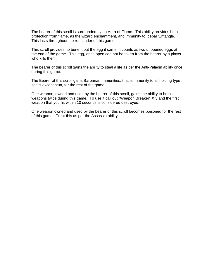The bearer of this scroll is surrounded by an Aura of Flame. This ability provides both protection from flame, as the wizard enchantment, and immunity to Iceball/Entangle. This lasts throughout the remainder of this game.

This scroll provides no benefit but the egg it came in counts as two unopened eggs at the end of the game. This egg, once open can not be taken from the bearer by a player who kills them.

The bearer of this scroll gains the ability to steal a life as per the Anti-Paladin ability once during this game.

The Bearer of this scroll gains Barbarian Immunities, that is immunity to all holding type spells except stun, for the rest of the game.

One weapon, owned and used by the bearer of this scroll, gains the ability to break weapons twice during this game. To use it call out "Weapon Breaker" X 3 and the first weapon that you hit within 10 seconds is considered destroyed.

One weapon owned and used by the bearer of this scroll becomes poisoned for the rest of this game. Treat this as per the Assassin ability.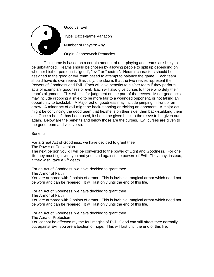

Good vs. Evil

Type: Battle-game Variation

Number of Players: Any.

Origin: Jabberwock Pentacles

 This game is based on a certain amount of role-playing and teams are likely to be unbalanced. Teams should be chosen by allowing people to split up depending on whether his/her persona is "good", "evil" or "neutral". Neutral characters should be assigned to the good or evil team based to attempt to balance the game. Each team should have its own reeve. Basically, the idea is that the two reeves represent the Powers of Goodness and Evil. Each will give benefits to his/her team if they perform acts of exemplary goodness or evil. Each will also give curses to those who defy their team's alignment. This will call for judgment on the part of the reeves. Minor good acts may include dropping a shield to be more fair to a wounded opponent, or not taking an opportunity to backstab. A Major act of goodness may include jumping in front of an arrow. A minor act of evil might be back-stabbing or tricking an opponent. A major act might be convincing the good team that he/she is on their side, then back-stabbing them all. Once a benefit has been used, it should be given back to the reeve to be given out again. Below are the benefits and below those are the curses. Evil curses are given to the good team and vice versa.

# Benefits:

For a Great Act of Goodness, we have decided to grant thee

The Power of Conversion

The next person you kill will be converted to the power of Light and Goodness. For one life they must fight with you and your kind against the powers of Evil. They may, instead, if they wish, take a  $2^{nd}$  death.

For an Act of Goodness, we have decided to grant thee

The Armor of Faith

You are armored with 2 points of armor. This is invisible, magical armor which need not be worn and can be repaired. It will last only until the end of this life.

For an Act of Goodness, we have decided to grant thee The Armor of Faith

You are armored with 2 points of armor. This is invisible, magical armor which need not be worn and can be repaired. It will last only until the end of this life.

For an Act of Goodness, we have decided to grant thee The Aura of Protection

You cannot be affected my the foul magics of Evil. Good can still affect thee normally, but against Evil, you are a bastion of hope. This will last until the end of this life.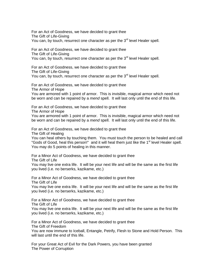For an Act of Goodness, we have decided to grant thee The Gift of Life-Giving You can, by touch, resurrect one character as per the 3<sup>rd</sup> level Healer spell.

For an Act of Goodness, we have decided to grant thee The Gift of Life-Giving You can, by touch, resurrect one character as per the  $3<sup>rd</sup>$  level Healer spell.

For an Act of Goodness, we have decided to grant thee The Gift of Life-Giving You can, by touch, resurrect one character as per the 3<sup>rd</sup> level Healer spell.

For an Act of Goodness, we have decided to grant thee The Armor of Hope

You are armored with 1 point of armor. This is invisible, magical armor which need not be worn and can be repaired by a *mend* spell. It will last only until the end of this life.

For an Act of Goodness, we have decided to grant thee The Armor of Hope You are armored with 1 point of armor. This is invisible, magical armor which need not be worn and can be repaired by a *mend* spell. It will last only until the end of this life.

For an Act of Goodness, we have decided to grant thee

The Gift of Healing

You can heal others by touching them. You must touch the person to be healed and call "Gods of Good, heal this person!" and it will heal them just like the 1<sup>st</sup> level Healer spell. You may do 5 points of healing in this manner.

For a Minor Act of Goodness, we have decided to grant thee The Gift of Life

You may live one extra life. It will be your next life and will be the same as the first life you lived (i.e. no berserks, kazikame, etc.)

For a Minor Act of Goodness, we have decided to grant thee The Gift of Life

You may live one extra life. It will be your next life and will be the same as the first life you lived (i.e. no berserks, kazikame, etc.)

For a Minor Act of Goodness, we have decided to grant thee The Gift of Life

You may live one extra life. It will be your next life and will be the same as the first life you lived (i.e. no berserks, kazikame, etc.)

For a Minor Act of Goodness, we have decided to grant thee The Gift of Freedom You are now immune to Iceball, Entangle, Petrify, Flesh to Stone and Hold Person. This will last until the end of this life.

For your Great Act of Evil for the Dark Powers, you have been granted The Power of Corruption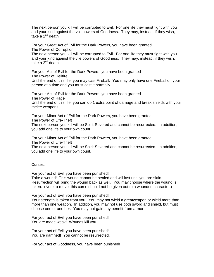The next person you kill will be corrupted to Evil. For one life they must fight with you and your kind against the vile powers of Goodness. They may, instead, if they wish, take a  $2^{nd}$  death.

For your Great Act of Evil for the Dark Powers, you have been granted The Power of Corruption

The next person you kill will be corrupted to Evil. For one life they must fight with you and your kind against the vile powers of Goodness. They may, instead, if they wish, take a  $2^{nd}$  death.

For your Act of Evil for the Dark Powers, you have been granted The Power of Hellfire

Until the end of this life, you may cast Fireball. You may only have one Fireball on your person at a time and you must cast it normally.

For your Act of Evil for the Dark Powers, you have been granted The Power of Rage Until the end of this life, you can do 1 extra point of damage and break shields with your melee weapons.

For your Minor Act of Evil for the Dark Powers, you have been granted The Power of Life-Theft The next person you kill will be Spirit Severed and cannot be resurrected. In addition, you add one life to your own count.

For your Minor Act of Evil for the Dark Powers, you have been granted The Power of Life-Theft

The next person you kill will be Spirit Severed and cannot be resurrected. In addition, you add one life to your own count.

Curses:

For your act of Evil, you have been punished! Take a wound! This wound cannot be healed and will last until you are slain. Resurrection will bring the wound back as well. You may choose where the wound is taken. (Note to reeve: this curse should not be given out to a wounded character.)

For your act of Evil, you have been punished! Your strength is taken from you! You may not wield a greatweapon or wield more than more than one weapon. In addition, you may not use both sword and shield, but must choose one or another. You may not gain any benefit from armor.

For your act of Evil, you have been punished! You are made weak! Wounds kill you.

For your act of Evil, you have been punished! You are damned! You cannot be resurrected.

For your act of Goodness, you have been punished!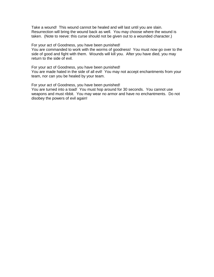Take a wound! This wound cannot be healed and will last until you are slain. Resurrection will bring the wound back as well. You may choose where the wound is taken. (Note to reeve: this curse should not be given out to a wounded character.)

For your act of Goodness, you have been punished! You are commanded to work with the worms of goodness! You must now go over to the side of good and fight with them. Wounds will kill you. After you have died, you may return to the side of evil.

For your act of Goodness, you have been punished! You are made hated in the side of all evil! You may not accept enchantments from your team, nor can you be healed by your team.

For your act of Goodness, you have been punished! You are turned into a toad! You must hop around for 30 seconds. You cannot use weapons and must ribbit. You may wear no armor and have no enchantments. Do not disobey the powers of evil again!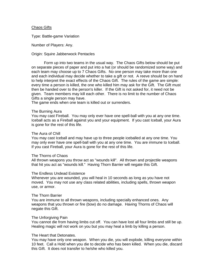#### Chaos Gifts

Type: Battle-game Variation

Number of Players: Any.

#### Origin: Squire Jabberwock Pentacles

 Form up into two teams in the usual way. The Chaos Gifts below should be put on separate pieces of paper and put into a hat (or should be randomized some way) and each team may choose up to 7 Chaos Gifts. No one person may take more than one and each individual may decide whether to take a gift or not. A reeve should be on hand to help interpret the exact effects of the Chaos Gift. The rules of the game are simple: every time a person is killed, the one who killed him may ask for the Gift. The Gift must then be handed over to the person's killer. If the Gift is not asked for, it need not be given. Team members may kill each other. There is no limit to the number of Chaos Gifts a single person may have.

The game ends when one team is killed out or surrenders.

#### The Burning Aura

You may cast Fireball. You may only ever have one spell-ball with you at any one time. Iceball acts as a Fireball against you and your equipment. If you cast Iceball, your Aura is gone for the rest of this life.

#### The Aura of Chill

You may cast Iceball and may have up to three people iceballed at any one time. You may only ever have one spell-ball with you at any one time. You are immune to Iceball. If you cast Fireball, your Aura is gone for the rest of this life.

#### The Thorns of Chaos

All thrown weapons you throw act as "wounds kill". All thrown and projectile weapons that hit you act as "wounds kill." Having Thorn Barrier will negate this Gift.

#### The Endless Undead Existence

Whenever you are wounded, you will heal in 10 seconds as long as you have not moved. You may not use any class related abilities, including spells, thrown weapon use, or armor.

#### The Thorn Barrier

You are immune to all thrown weapons, including specially enhanced ones. Any weapons that you thrown or fire (bow) do no damage. Having Thorns of Chaos will negate this Gift.

#### The Unforgiving Pain

You cannot die from having limbs cut off. You can have lost all four limbs and still be up. Healing magic will not work on you but you may heal a limb by killing a person.

## The Heart that Detonates.

You may have only one weapon. When you die, you will explode, killing everyone within 10 feet. Call a Hold when you die to decide who has been killed. When you die, discard this Gift. It does not transfer to he/she who killed you.